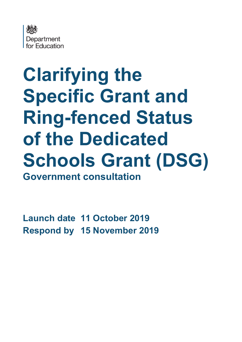

# **Clarifying the Specific Grant and Ring-fenced Status of the Dedicated Schools Grant (DSG) Government consultation**

**Launch date 11 October 2019 Respond by 15 November 2019**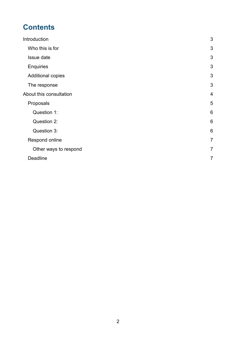# **Contents**

| Introduction             | 3               |
|--------------------------|-----------------|
| Who this is for          | 3               |
| Issue date               | 3               |
| <b>Enquiries</b>         | 3               |
| <b>Additional copies</b> | 3               |
| The response             | 3               |
| About this consultation  | $\overline{4}$  |
| Proposals                | 5               |
| Question 1:              | 6               |
| Question 2:              | 6               |
| Question 3:              | $6\phantom{1}6$ |
| Respond online           | $\overline{7}$  |
| Other ways to respond    | $\overline{7}$  |
| <b>Deadline</b>          | $\overline{7}$  |
|                          |                 |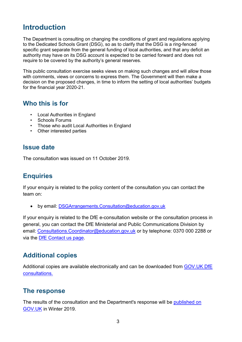# <span id="page-2-0"></span>**Introduction**

The Department is consulting on changing the conditions of grant and regulations applying to the Dedicated Schools Grant (DSG), so as to clarify that the DSG is a ring-fenced specific grant separate from the general funding of local authorities, and that any deficit an authority may have on its DSG account is expected to be carried forward and does not require to be covered by the authority's general reserves.

This public consultation exercise seeks views on making such changes and will allow those with comments, views or concerns to express them. The Government will then make a decision on the proposed changes, in time to inform the setting of local authorities' budgets for the financial year 2020-21.

## <span id="page-2-1"></span>**Who this is for**

- Local Authorities in England
- Schools Forums
- Those who audit Local Authorities in England
- <span id="page-2-2"></span>• Other interested parties

### **Issue date**

The consultation was issued on 11 October 2019.

# <span id="page-2-3"></span>**Enquiries**

If your enquiry is related to the policy content of the consultation you can contact the team on:

• by email: [DSGArrangements.Consultation@education.gov.uk](mailto:DSGArrangements.Consultation@education.gov.uk)

If your enquiry is related to the DfE e-consultation website or the consultation process in general, you can contact the DfE Ministerial and Public Communications Division by email: [Consultations.Coordinator@education.gov.uk](mailto:Coordinator.CONSULTATIONS@education.gov.uk) or by telephone: 0370 000 2288 or via the [DfE Contact us page.](https://www.education.gov.uk/help/contactus)

# <span id="page-2-4"></span>**Additional copies**

Additional copies are available electronically and can be downloaded from [GOV.UK DfE](https://www.gov.uk/government/publications?keywords=&publication_filter_option=consultations&topics%5B%5D=all&departments%5B%5D=department-for-education&official_document_status=all&world_locations%5B%5D=all&from_date=&to_date=&commit=Refresh+results)  [consultations.](https://www.gov.uk/government/publications?keywords=&publication_filter_option=consultations&topics%5B%5D=all&departments%5B%5D=department-for-education&official_document_status=all&world_locations%5B%5D=all&from_date=&to_date=&commit=Refresh+results)

## <span id="page-2-5"></span>**The response**

The results of the consultation and the Department's response will be [published on](https://www.gov.uk/government/publications?departments%5B%5D=department-for-education&publication_filter_option=consultations)  [GOV.UK](https://www.gov.uk/government/publications?departments%5B%5D=department-for-education&publication_filter_option=consultations) in Winter 2019.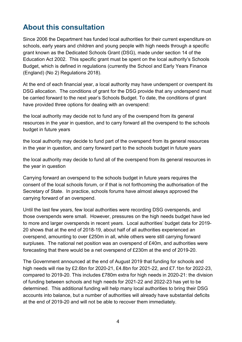# <span id="page-3-0"></span>**About this consultation**

Since 2006 the Department has funded local authorities for their current expenditure on schools, early years and children and young people with high needs through a specific grant known as the Dedicated Schools Grant (DSG), made under section 14 of the Education Act 2002. This specific grant must be spent on the local authority's Schools Budget, which is defined in regulations (currently the School and Early Years Finance (England) (No 2) Regulations 2018).

At the end of each financial year, a local authority may have underspent or overspent its DSG allocation. The conditions of grant for the DSG provide that any underspend must be carried forward to the next year's Schools Budget. To date, the conditions of grant have provided three options for dealing with an overspend:

the local authority may decide not to fund any of the overspend from its general resources in the year in question, and to carry forward all the overspend to the schools budget in future years

the local authority may decide to fund part of the overspend from its general resources in the year in question, and carry forward part to the schools budget in future years

the local authority may decide to fund all of the overspend from its general resources in the year in question

Carrying forward an overspend to the schools budget in future years requires the consent of the local schools forum, or if that is not forthcoming the authorisation of the Secretary of State. In practice, schools forums have almost always approved the carrying forward of an overspend.

Until the last few years, few local authorities were recording DSG overspends, and those overspends were small. However, pressures on the high needs budget have led to more and larger overspends in recent years. Local authorities' budget data for 2019- 20 shows that at the end of 2018-19, about half of all authorities experienced an overspend, amounting to over £250m in all, while others were still carrying forward surpluses. The national net position was an overspend of £40m, and authorities were forecasting that there would be a net overspend of £230m at the end of 2019-20.

The Government announced at the end of August 2019 that funding for schools and high needs will rise by £2.6bn for 2020-21, £4.8bn for 2021-22, and £7.1bn for 2022-23, compared to 2019-20. This includes £780m extra for high needs in 2020-21: the division of funding between schools and high needs for 2021-22 and 2022-23 has yet to be determined. This additional funding will help many local authorities to bring their DSG accounts into balance, but a number of authorities will already have substantial deficits at the end of 2019-20 and will not be able to recover them immediately.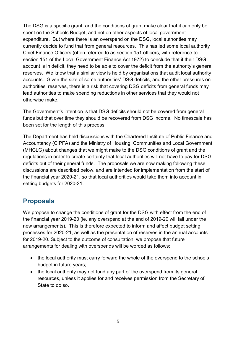The DSG is a specific grant, and the conditions of grant make clear that it can only be spent on the Schools Budget, and not on other aspects of local government expenditure. But where there is an overspend on the DSG, local authorities may currently decide to fund that from general resources. This has led some local authority Chief Finance Officers (often referred to as section 151 officers, with reference to section 151 of the Local Government Finance Act 1972) to conclude that if their DSG account is in deficit, they need to be able to cover the deficit from the authority's general reserves. We know that a similar view is held by organisations that audit local authority accounts. Given the size of some authorities' DSG deficits, and the other pressures on authorities' reserves, there is a risk that covering DSG deficits from general funds may lead authorities to make spending reductions in other services that they would not otherwise make.

The Government's intention is that DSG deficits should not be covered from general funds but that over time they should be recovered from DSG income. No timescale has been set for the length of this process.

The Department has held discussions with the Chartered Institute of Public Finance and Accountancy (CIPFA) and the Ministry of Housing, Communities and Local Government (MHCLG) about changes that we might make to the DSG conditions of grant and the regulations in order to create certainty that local authorities will not have to pay for DSG deficits out of their general funds. The proposals we are now making following these discussions are described below, and are intended for implementation from the start of the financial year 2020-21, so that local authorities would take them into account in setting budgets for 2020-21.

# <span id="page-4-0"></span>**Proposals**

We propose to change the conditions of grant for the DSG with effect from the end of the financial year 2019-20 (ie, any overspend at the end of 2019-20 will fall under the new arrangements). This is therefore expected to inform and affect budget setting processes for 2020-21, as well as the presentation of reserves in the annual accounts for 2019-20. Subject to the outcome of consultation, we propose that future arrangements for dealing with overspends will be worded as follows:

- the local authority must carry forward the whole of the overspend to the schools budget in future years;
- the local authority may not fund any part of the overspend from its general resources, unless it applies for and receives permission from the Secretary of State to do so.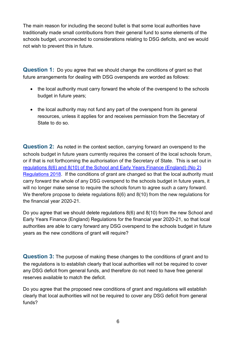The main reason for including the second bullet is that some local authorities have traditionally made small contributions from their general fund to some elements of the schools budget, unconnected to considerations relating to DSG deficits, and we would not wish to prevent this in future.

<span id="page-5-0"></span>**Question 1:** Do you agree that we should change the conditions of grant so that future arrangements for dealing with DSG overspends are worded as follows:

- the local authority must carry forward the whole of the overspend to the schools budget in future years;
- the local authority may not fund any part of the overspend from its general resources, unless it applies for and receives permission from the Secretary of State to do so.

<span id="page-5-1"></span>**Question 2:** As noted in the context section, carrying forward an overspend to the schools budget in future years currently requires the consent of the local schools forum, or if that is not forthcoming the authorisation of the Secretary of State. This is set out in [regulations 8\(6\) and 8\(10\) of the School and Early Years Finance \(England\) \(No 2\)](http://www.legislation.gov.uk/uksi/2018/1185/regulation/8/made)  [Regulations 2018.](http://www.legislation.gov.uk/uksi/2018/1185/regulation/8/made) If the conditions of grant are changed so that the local authority must carry forward the whole of any DSG overspend to the schools budget in future years, it will no longer make sense to require the schools forum to agree such a carry forward. We therefore propose to delete regulations 8(6) and 8(10) from the new regulations for the financial year 2020-21.

Do you agree that we should delete regulations 8(6) and 8(10) from the new School and Early Years Finance (England) Regulations for the financial year 2020-21, so that local authorities are able to carry forward any DSG overspend to the schools budget in future years as the new conditions of grant will require?

<span id="page-5-2"></span>**Question 3:** The purpose of making these changes to the conditions of grant and to the regulations is to establish clearly that local authorities will not be required to cover any DSG deficit from general funds, and therefore do not need to have free general reserves available to match the deficit.

Do you agree that the proposed new conditions of grant and regulations will establish clearly that local authorities will not be required to cover any DSG deficit from general funds?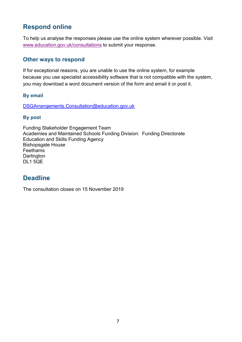# <span id="page-6-0"></span>**Respond online**

To help us analyse the responses please use the online system wherever possible. Visit [www.education.gov.uk/consultations](http://www.education.gov.uk/consultations) to submit your response.

#### <span id="page-6-1"></span>**Other ways to respond**

If for exceptional reasons, you are unable to use the online system, for example because you use specialist accessibility software that is not compatible with the system, you may download a word document version of the form and email it or post it.

#### **By email**

DSGArrangements.Consultation@education.gov.uk

#### **By post**

Funding Stakeholder Engagement Team Academies and Maintained Schools Funding Division: Funding Directorate Education and Skills Funding Agency Bishopsgate House Feethams **Darlington** DL1 5QE

# <span id="page-6-2"></span>**Deadline**

The consultation closes on 15 November 2019